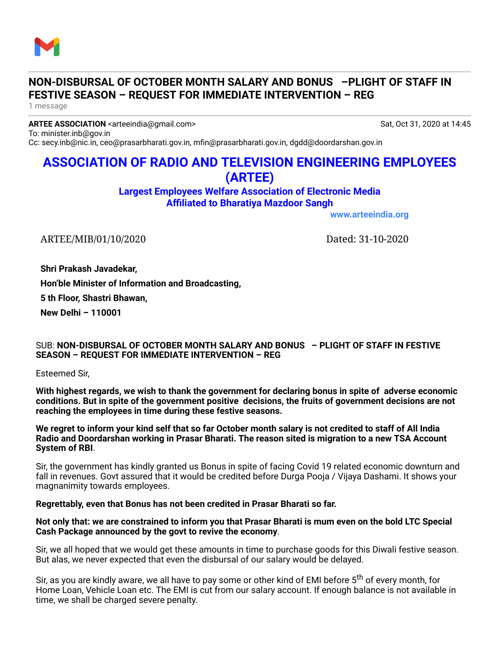

## **NON-DISBURSAL OF OCTOBER MONTH SALARY AND BONUS –PLIGHT OF STAFF IN FESTIVE SEASON – REQUEST FOR IMMEDIATE INTERVENTION – REG**

1 message

**ARTEE ASSOCIATION** <arteeindia@gmail.com> Sat, Oct 31, 2020 at 14:45 To: minister.inb@gov.in

Cc: secy.inb@nic.in, ceo@prasarbharati.gov.in, mfin@prasarbharati.gov.in, dgdd@doordarshan.gov.in

# **ASSOCIATION OF RADIO AND TELEVISION ENGINEERING EMPLOYEES (ARTEE)**

**Largest Employees Welfare Association of Electronic Media Affiliated to Bharatiya Mazdoor Sangh**

**[www.arteeindia.org](http://www.arteeindia.org/)**

ARTEE/MIB/01/10/2020 Dated: 31-10-2020

**Shri Prakash Javadekar,**

**Hon'ble Minister of Information and Broadcasting,**

**5 th Floor, Shastri Bhawan,**

**New Delhi – 110001**

### SUB: **NON-DISBURSAL OF OCTOBER MONTH SALARY AND BONUS – PLIGHT OF STAFF IN FESTIVE SEASON – REQUEST FOR IMMEDIATE INTERVENTION – REG**

Esteemed Sir,

**With highest regards, we wish to thank the government for declaring bonus in spite of adverse economic conditions. But in spite of the government positive decisions, the fruits of government decisions are not reaching the employees in time during these festive seasons.**

We regret to inform your kind self that so far October month salary is not credited to staff of All India **Radio and Doordarshan working in Prasar Bharati. The reason sited is migration to a new TSA Account System of RBI**.

Sir, the government has kindly granted us Bonus in spite of facing Covid 19 related economic downturn and fall in revenues. Govt assured that it would be credited before Durga Pooja / Vijaya Dashami. It shows your magnanimity towards employees.

#### **Regrettably, even that Bonus has not been credited in Prasar Bharati so far.**

#### Not only that: we are constrained to inform you that Prasar Bharati is mum even on the bold LTC Special **Cash Package announced by the govt to revive the economy**.

Sir, we all hoped that we would get these amounts in time to purchase goods for this Diwali festive season. But alas, we never expected that even the disbursal of our salary would be delayed.

Sir, as you are kindly aware, we all have to pay some or other kind of EMI before 5<sup>th</sup> of every month, for Home Loan, Vehicle Loan etc. The EMI is cut from our salary account. If enough balance is not available in time, we shall be charged severe penalty.